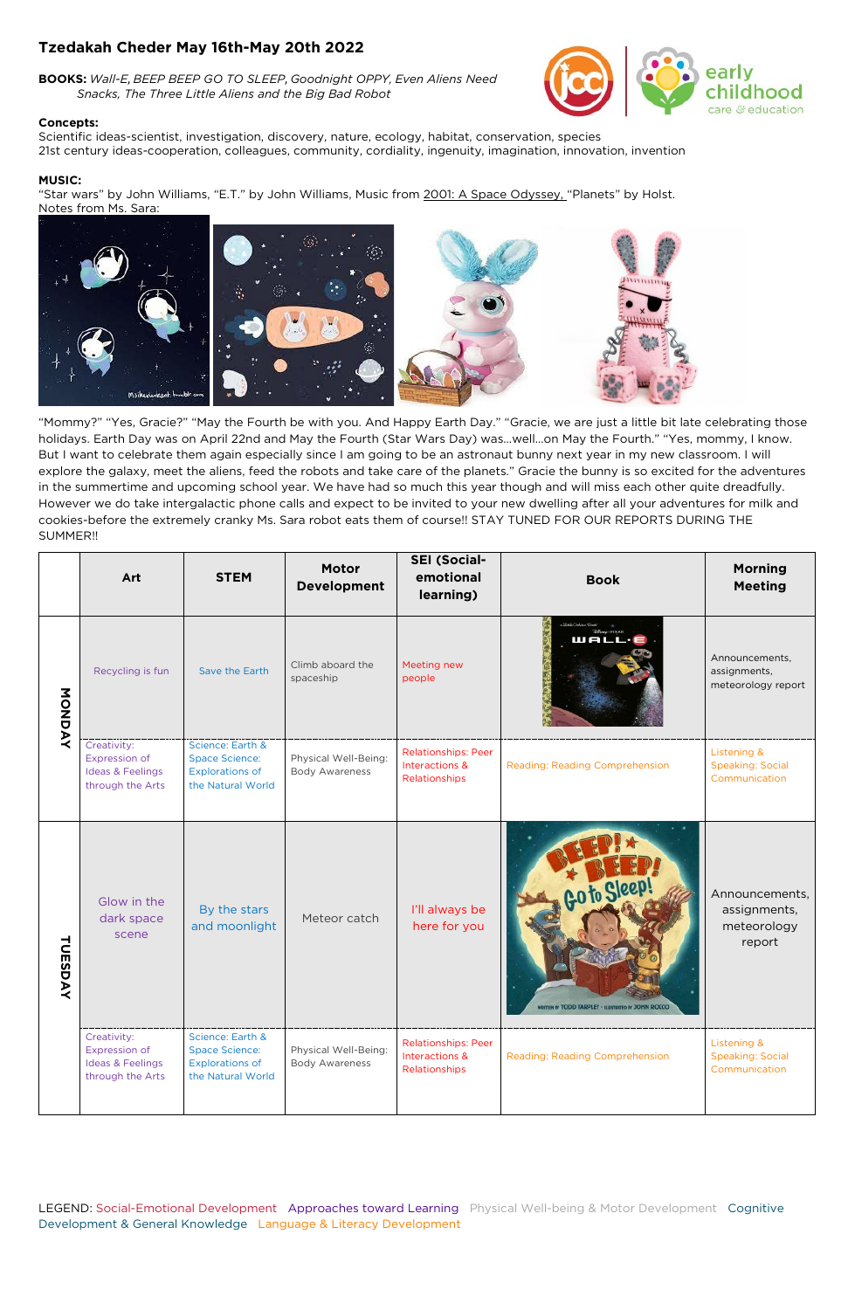LEGEND: Social-Emotional Development Approaches toward Learning Physical Well-being & Motor Development Cognitive Development & General Knowledge Language & Literacy Development

## **Tzedakah Cheder May 16th-May 20th 2022**

**BOOKS:** *Wall-E*, *BEEP BEEP GO TO SLEEP*, *Goodnight OPPY, Even Aliens Need Snacks, The Three Little Aliens and the Big Bad Robot*

## **Concepts:**

"Star wars" by John Williams, "E.T." by John Williams, Music from 2001: A Space Odyssey, "Planets" by Holst. Notes from Ms. Sara:



Scientific ideas-scientist, investigation, discovery, nature, ecology, habitat, conservation, species 21st century ideas-cooperation, colleagues, community, cordiality, ingenuity, imagination, innovation, invention boc

& education

## **MUSIC:**

"Mommy?" "Yes, Gracie?" "May the Fourth be with you. And Happy Earth Day." "Gracie, we are just a little bit late celebrating those holidays. Earth Day was on April 22nd and May the Fourth (Star Wars Day) was…well…on May the Fourth." "Yes, mommy, I know. But I want to celebrate them again especially since I am going to be an astronaut bunny next year in my new classroom. I will explore the galaxy, meet the aliens, feed the robots and take care of the planets." Gracie the bunny is so excited for the adventures in the summertime and upcoming school year. We have had so much this year though and will miss each other quite dreadfully. However we do take intergalactic phone calls and expect to be invited to your new dwelling after all your adventures for milk and cookies-before the extremely cranky Ms. Sara robot eats them of course!! STAY TUNED FOR OUR REPORTS DURING THE SUMMER!!

|         | Art                                                                                    | <b>STEM</b>                                                                              | <b>Motor</b><br><b>Development</b>            | <b>SEI (Social-</b><br>emotional<br>learning)                 | <b>Book</b>                                                         | <b>Morning</b><br><b>Meeting</b>                                   |
|---------|----------------------------------------------------------------------------------------|------------------------------------------------------------------------------------------|-----------------------------------------------|---------------------------------------------------------------|---------------------------------------------------------------------|--------------------------------------------------------------------|
| MONDAY  | Recycling is fun                                                                       | Save the Earth                                                                           | Climb aboard the<br>spaceship                 | Meeting new<br>people                                         | wall.                                                               | Announcements,<br>assignments,<br>meteorology report               |
|         | Creativity:<br><b>Expression of</b><br><b>Ideas &amp; Feelings</b><br>through the Arts | Science: Earth &<br><b>Space Science:</b><br><b>Explorations of</b><br>the Natural World | Physical Well-Being:<br><b>Body Awareness</b> | <b>Relationships: Peer</b><br>Interactions &<br>Relationships | Reading: Reading Comprehension                                      | Listening &<br><b>Speaking: Social</b><br>Communication            |
| TUESDAY | Glow in the<br>dark space<br>scene                                                     | By the stars<br>and moonlight                                                            | Meteor catch                                  | I'll always be<br>here for you                                | Go to Sleep!<br>WRITTEN BY TODD TARPLEY - ILLISTRATED BY JOHN ROCCO | Announcements,<br>assignments,<br>meteorology<br>report            |
|         | Creativity:<br><b>Expression of</b><br>Ideas & Feelings<br>through the Arts            | Science: Earth &<br><b>Space Science:</b><br><b>Explorations of</b><br>the Natural World | Physical Well-Being:<br><b>Body Awareness</b> | <b>Relationships: Peer</b><br>Interactions &<br>Relationships | Reading: Reading Comprehension                                      | <b>Listening &amp;</b><br><b>Speaking: Social</b><br>Communication |